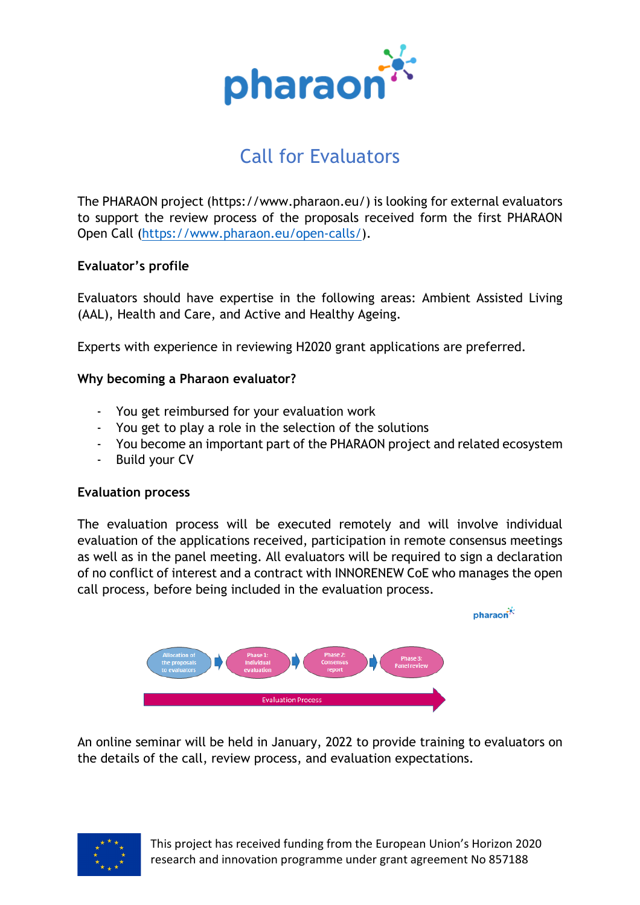

# Call for Evaluators

The PHARAON project (https://www.pharaon.eu/) is looking for external evaluators to support the review process of the proposals received form the first PHARAON Open Call [\(https://www.pharaon.eu/open-calls/\)](https://www.pharaon.eu/open-calls/).

# **Evaluator's profile**

Evaluators should have expertise in the following areas: Ambient Assisted Living (AAL), Health and Care, and Active and Healthy Ageing.

Experts with experience in reviewing H2020 grant applications are preferred.

# **Why becoming a Pharaon evaluator?**

- You get reimbursed for your evaluation work
- You get to play a role in the selection of the solutions
- You become an important part of the PHARAON project and related ecosystem
- Build your CV

# **Evaluation process**

The evaluation process will be executed remotely and will involve individual evaluation of the applications received, participation in remote consensus meetings as well as in the panel meeting. All evaluators will be required to sign a declaration of no conflict of interest and a contract with INNORENEW CoE who manages the open call process, before being included in the evaluation process.



An online seminar will be held in January, 2022 to provide training to evaluators on the details of the call, review process, and evaluation expectations.